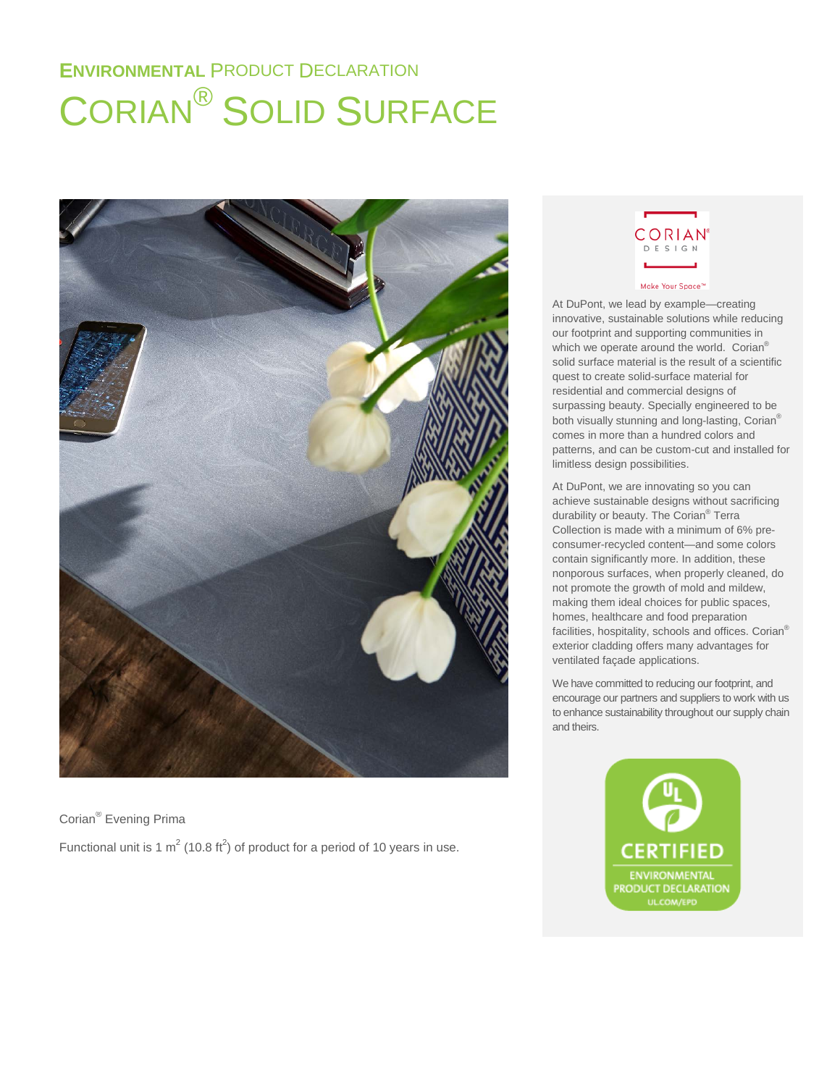# **ENVIRONMENTAL** PRODUCT DECLARATION CORIAN® SOLID SURFACE



Corian® Evening Prima Functional unit is 1  $m^2$  (10.8 ft<sup>2</sup>) of product for a period of 10 years in use.



At DuPont, we lead by example—creating innovative, sustainable solutions while reducing our footprint and supporting communities in which we operate around the world. Corian<sup>®</sup> solid surface material is the result of a scientific quest to create solid-surface material for residential and commercial designs of surpassing beauty. Specially engineered to be both visually stunning and long-lasting, Corian® comes in more than a hundred colors and patterns, and can be custom-cut and installed for limitless design possibilities.

At DuPont, we are innovating so you can achieve sustainable designs without sacrificing durability or beauty. The Corian® Terra Collection is made with a minimum of 6% preconsumer-recycled content—and some colors contain significantly more. In addition, these nonporous surfaces, when properly cleaned, do not promote the growth of mold and mildew, making them ideal choices for public spaces, homes, healthcare and food preparation facilities, hospitality, schools and offices. Corian® exterior cladding offers many advantages for ventilated façade applications.

We have committed to reducing our footprint, and encourage our partners and suppliers to work with us to enhance sustainability throughout our supply chain and theirs.

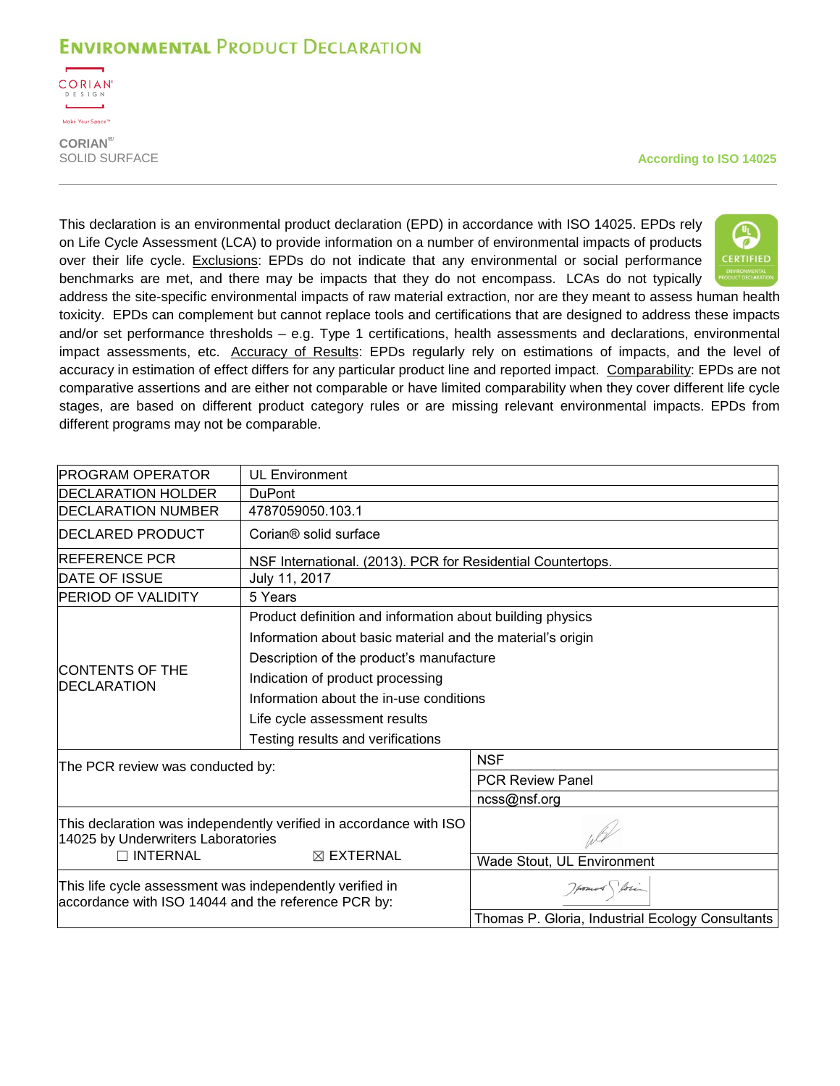

**CORIAN®**

**According to ISO 14025** 

This declaration is an environmental product declaration (EPD) in accordance with ISO 14025. EPDs rely on Life Cycle Assessment (LCA) to provide information on a number of environmental impacts of products over their life cycle. Exclusions: EPDs do not indicate that any environmental or social performance benchmarks are met, and there may be impacts that they do not encompass. LCAs do not typically



address the site-specific environmental impacts of raw material extraction, nor are they meant to assess human health toxicity. EPDs can complement but cannot replace tools and certifications that are designed to address these impacts and/or set performance thresholds – e.g. Type 1 certifications, health assessments and declarations, environmental impact assessments, etc. Accuracy of Results: EPDs regularly rely on estimations of impacts, and the level of accuracy in estimation of effect differs for any particular product line and reported impact. Comparability: EPDs are not comparative assertions and are either not comparable or have limited comparability when they cover different life cycle stages, are based on different product category rules or are missing relevant environmental impacts. EPDs from different programs may not be comparable.

| <b>PROGRAM OPERATOR</b>                                                                                         | <b>UL Environment</b>                                       |                                                  |  |  |  |  |
|-----------------------------------------------------------------------------------------------------------------|-------------------------------------------------------------|--------------------------------------------------|--|--|--|--|
| <b>DECLARATION HOLDER</b>                                                                                       | <b>DuPont</b>                                               |                                                  |  |  |  |  |
| <b>IDECLARATION NUMBER</b>                                                                                      | 4787059050.103.1                                            |                                                  |  |  |  |  |
| <b>IDECLARED PRODUCT</b>                                                                                        | Corian <sup>®</sup> solid surface                           |                                                  |  |  |  |  |
| <b>REFERENCE PCR</b>                                                                                            | NSF International. (2013). PCR for Residential Countertops. |                                                  |  |  |  |  |
| <b>DATE OF ISSUE</b>                                                                                            | July 11, 2017                                               |                                                  |  |  |  |  |
| <b>PERIOD OF VALIDITY</b>                                                                                       | 5 Years                                                     |                                                  |  |  |  |  |
|                                                                                                                 | Product definition and information about building physics   |                                                  |  |  |  |  |
|                                                                                                                 | Information about basic material and the material's origin  |                                                  |  |  |  |  |
|                                                                                                                 | Description of the product's manufacture                    |                                                  |  |  |  |  |
| <b>CONTENTS OF THE</b>                                                                                          | Indication of product processing                            |                                                  |  |  |  |  |
| <b>DECLARATION</b>                                                                                              | Information about the in-use conditions                     |                                                  |  |  |  |  |
|                                                                                                                 | Life cycle assessment results                               |                                                  |  |  |  |  |
|                                                                                                                 | Testing results and verifications                           |                                                  |  |  |  |  |
| The PCR review was conducted by:                                                                                |                                                             | <b>NSF</b>                                       |  |  |  |  |
|                                                                                                                 |                                                             | <b>PCR Review Panel</b>                          |  |  |  |  |
|                                                                                                                 |                                                             | ncss@nsf.org                                     |  |  |  |  |
| This declaration was independently verified in accordance with ISO<br>14025 by Underwriters Laboratories        |                                                             |                                                  |  |  |  |  |
| $\Box$ INTERNAL                                                                                                 | $\boxtimes$ EXTERNAL                                        | Wade Stout, UL Environment                       |  |  |  |  |
| This life cycle assessment was independently verified in<br>accordance with ISO 14044 and the reference PCR by: |                                                             | Howard Spore                                     |  |  |  |  |
|                                                                                                                 |                                                             | Thomas P. Gloria, Industrial Ecology Consultants |  |  |  |  |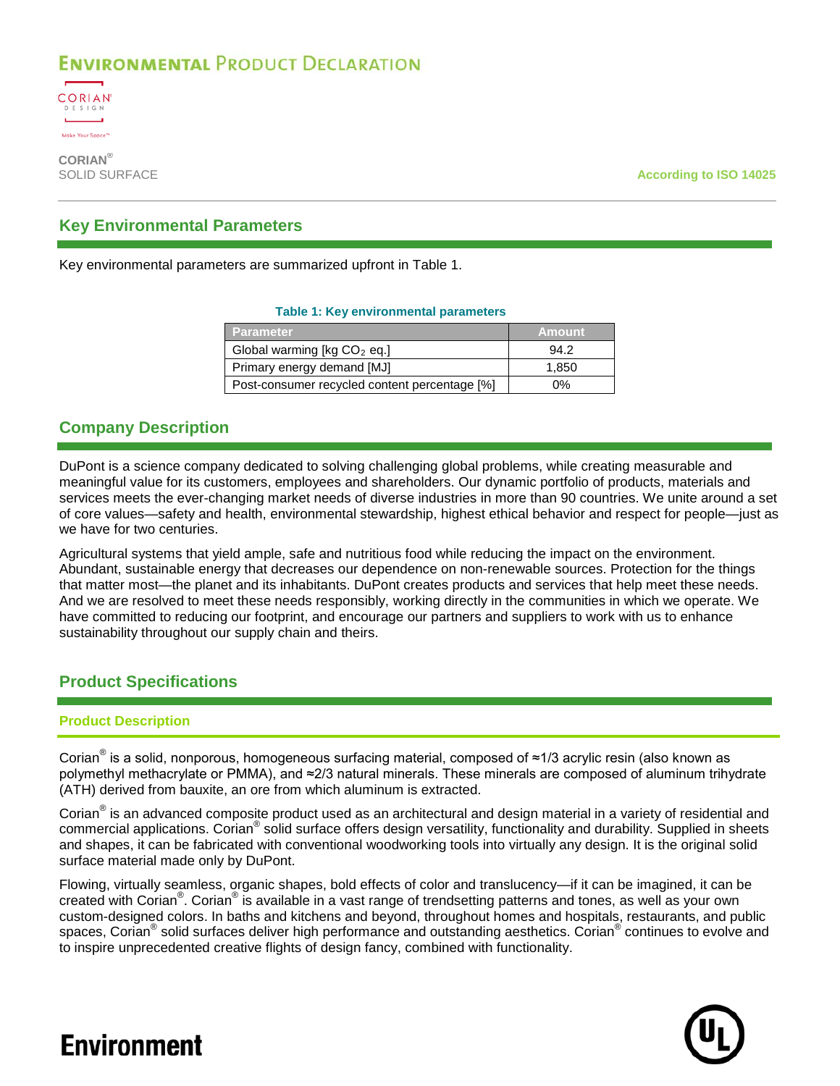

**CORIAN®**

**According to ISO 14025** 

### **Key Environmental Parameters**

<span id="page-2-0"></span>Key environmental parameters are summarized upfront in [Table 1.](#page-2-0)

#### **Table 1: Key environmental parameters**

| <b>Parameter</b>                              | Amount' |
|-----------------------------------------------|---------|
| Global warming [ $kg CO2$ eq.]                | 94.2    |
| Primary energy demand [MJ]                    | 1,850   |
| Post-consumer recycled content percentage [%] | 0%      |

### **Company Description**

DuPont is a science company dedicated to solving challenging global problems, while creating measurable and meaningful value for its customers, employees and shareholders. Our dynamic portfolio of products, materials and services meets the ever-changing market needs of diverse industries in more than 90 countries. We unite around a set of core values—safety and health, environmental stewardship, highest ethical behavior and respect for people—just as we have for two centuries.

Agricultural systems that yield ample, safe and nutritious food while reducing the impact on the environment. Abundant, sustainable energy that decreases our dependence on non-renewable sources. Protection for the things that matter most—the planet and its inhabitants. DuPont creates products and services that help meet these needs. And we are resolved to meet these needs responsibly, working directly in the communities in which we operate. We have committed to reducing our footprint, and encourage our partners and suppliers to work with us to enhance sustainability throughout our supply chain and theirs.

### **Product Specifications**

### **Product Description**

Corian® is a solid, nonporous, homogeneous surfacing material, composed of ≈1/3 acrylic resin (also known as polymethyl methacrylate or PMMA), and ≈2/3 natural minerals. These minerals are composed of aluminum trihydrate (ATH) derived from bauxite, an ore from which aluminum is extracted.

Corian<sup>®</sup> is an advanced composite product used as an architectural and design material in a variety of residential and commercial applications. Corian® solid surface offers design versatility, functionality and durability. Supplied in sheets and shapes, it can be fabricated with conventional woodworking tools into virtually any design. It is the original solid surface material made only by DuPont.

Flowing, virtually seamless, organic shapes, bold effects of color and translucency—if it can be imagined, it can be created with Corian<sup>®</sup>. Corian<sup>®</sup> is available in a vast range of trendsetting patterns and tones, as well as your own custom-designed colors. In baths and kitchens and beyond, throughout homes and hospitals, restaurants, and public spaces, Corian<sup>®</sup> solid surfaces deliver high performance and outstanding aesthetics. Corian<sup>®</sup> continues to evolve and to inspire unprecedented creative flights of design fancy, combined with functionality.

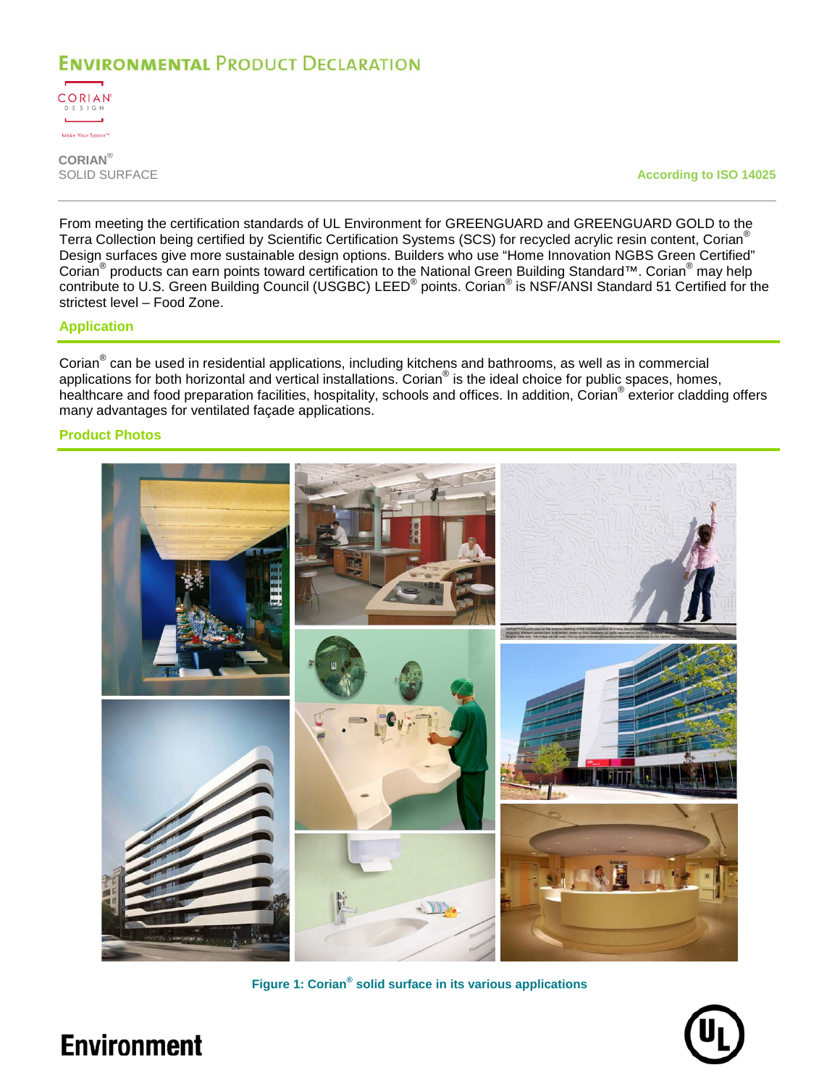

**CORIAN®**

**According to ISO 14025** 

From meeting the certification standards of UL Environment for GREENGUARD and GREENGUARD GOLD to the Terra Collection being certified by Scientific Certification Systems (SCS) for recycled acrylic resin content, Corian<sup>®</sup> Design surfaces give more sustainable design options. Builders who use "Home Innovation NGBS Green Certified" Corian<sup>®</sup> products can earn points toward certification to the National Green Building Standard™. Corian<sup>®</sup> may help contribute to U.S. Green Building Council (USGBC) LEED® points. Corian® is NSF/ANSI Standard 51 Certified for the strictest level – Food Zone.

#### **Application**

Corian<sup>®</sup> can be used in residential applications, including kitchens and bathrooms, as well as in commercial applications for both horizontal and vertical installations. Corian® is the ideal choice for public spaces, homes, healthcare and food preparation facilities, hospitality, schools and offices. In addition, Corian® exterior cladding offers many advantages for ventilated façade applications.

### **Product Photos**



**Figure 1: Corian® solid surface in its various applications**

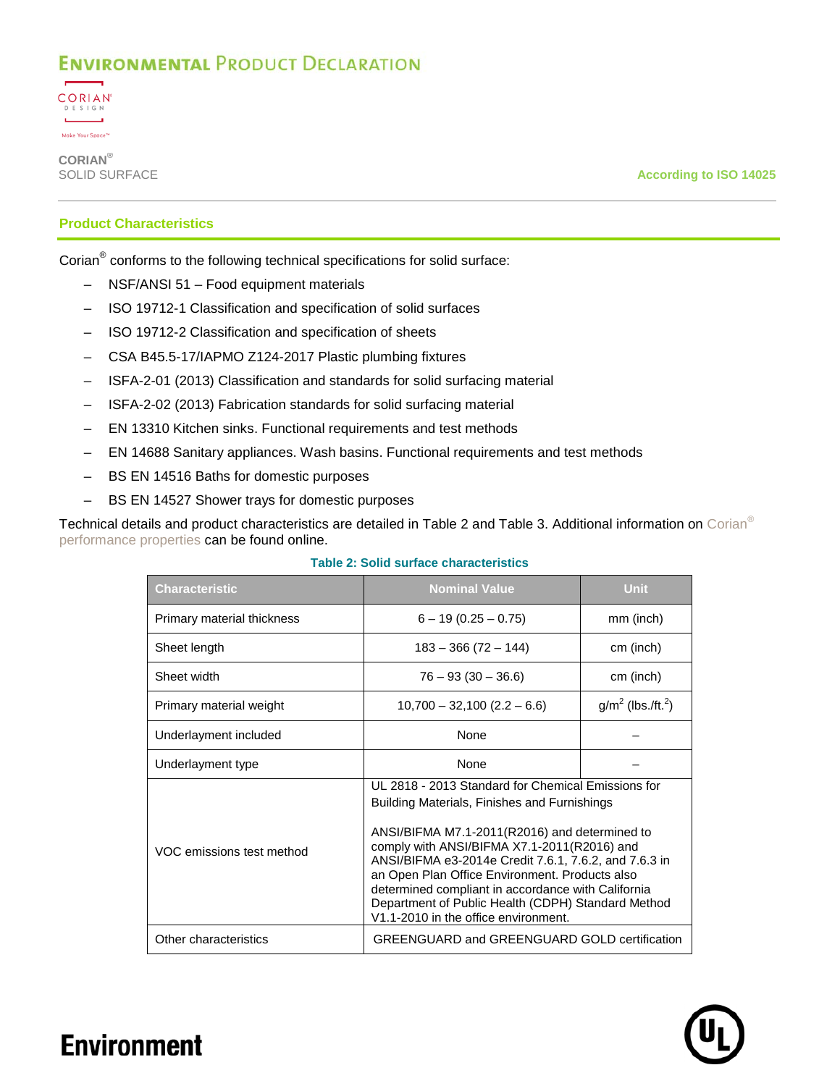

**CORIAN®**

**According to ISO 14025** 

### **Product Characteristics**

Corian® conforms to the following technical specifications for solid surface:

- NSF/ANSI 51 Food equipment materials
- ISO 19712-1 Classification and specification of solid surfaces
- ISO 19712-2 Classification and specification of sheets
- CSA B45.5-17/IAPMO Z124-2017 Plastic plumbing fixtures
- ISFA-2-01 (2013) Classification and standards for solid surfacing material
- ISFA-2-02 (2013) Fabrication standards for solid surfacing material
- EN 13310 Kitchen sinks. Functional requirements and test methods
- EN 14688 Sanitary appliances. Wash basins. Functional requirements and test methods
- BS EN 14516 Baths for domestic purposes
- BS EN 14527 Shower trays for domestic purposes

<span id="page-4-0"></span>Technical details and product characteristics are detailed in [Table 2](#page-4-0) and [Table 3.](#page-5-0) Additional information on [Corian](http://www.dupont.com/content/dam/dupont/tools-tactics/bi/surfaces-technical-library/documents/north-america/Performance_Properties_of_Corian.pdf)® [performance properties](http://www.dupont.com/content/dam/dupont/tools-tactics/bi/surfaces-technical-library/documents/north-america/Performance_Properties_of_Corian.pdf) can be found online.

| <b>Characteristic</b>                                                                                                | <b>Nominal Value</b>                                                                                                                                                                                                                                                                                                                                                                                                      | <b>Unit</b>                      |  |
|----------------------------------------------------------------------------------------------------------------------|---------------------------------------------------------------------------------------------------------------------------------------------------------------------------------------------------------------------------------------------------------------------------------------------------------------------------------------------------------------------------------------------------------------------------|----------------------------------|--|
| Primary material thickness                                                                                           | $6 - 19(0.25 - 0.75)$                                                                                                                                                                                                                                                                                                                                                                                                     | mm (inch)                        |  |
| Sheet length                                                                                                         | $183 - 366(72 - 144)$                                                                                                                                                                                                                                                                                                                                                                                                     | cm (inch)                        |  |
| Sheet width                                                                                                          | $76 - 93(30 - 36.6)$                                                                                                                                                                                                                                                                                                                                                                                                      | cm (inch)                        |  |
| Primary material weight                                                                                              | $10,700 - 32,100 (2.2 - 6.6)$                                                                                                                                                                                                                                                                                                                                                                                             | $g/m^2$ (lbs./ft. <sup>2</sup> ) |  |
| Underlayment included                                                                                                | <b>None</b>                                                                                                                                                                                                                                                                                                                                                                                                               |                                  |  |
| Underlayment type                                                                                                    | <b>None</b>                                                                                                                                                                                                                                                                                                                                                                                                               |                                  |  |
| VOC emissions test method                                                                                            | UL 2818 - 2013 Standard for Chemical Emissions for<br>Building Materials, Finishes and Furnishings<br>ANSI/BIFMA M7.1-2011(R2016) and determined to<br>comply with ANSI/BIFMA X7.1-2011(R2016) and<br>ANSI/BIFMA e3-2014e Credit 7.6.1, 7.6.2, and 7.6.3 in<br>an Open Plan Office Environment. Products also<br>determined compliant in accordance with California<br>Department of Public Health (CDPH) Standard Method |                                  |  |
| V1.1-2010 in the office environment.<br>Other characteristics<br><b>GREENGUARD and GREENGUARD GOLD certification</b> |                                                                                                                                                                                                                                                                                                                                                                                                                           |                                  |  |

**Table 2: Solid surface characteristics**

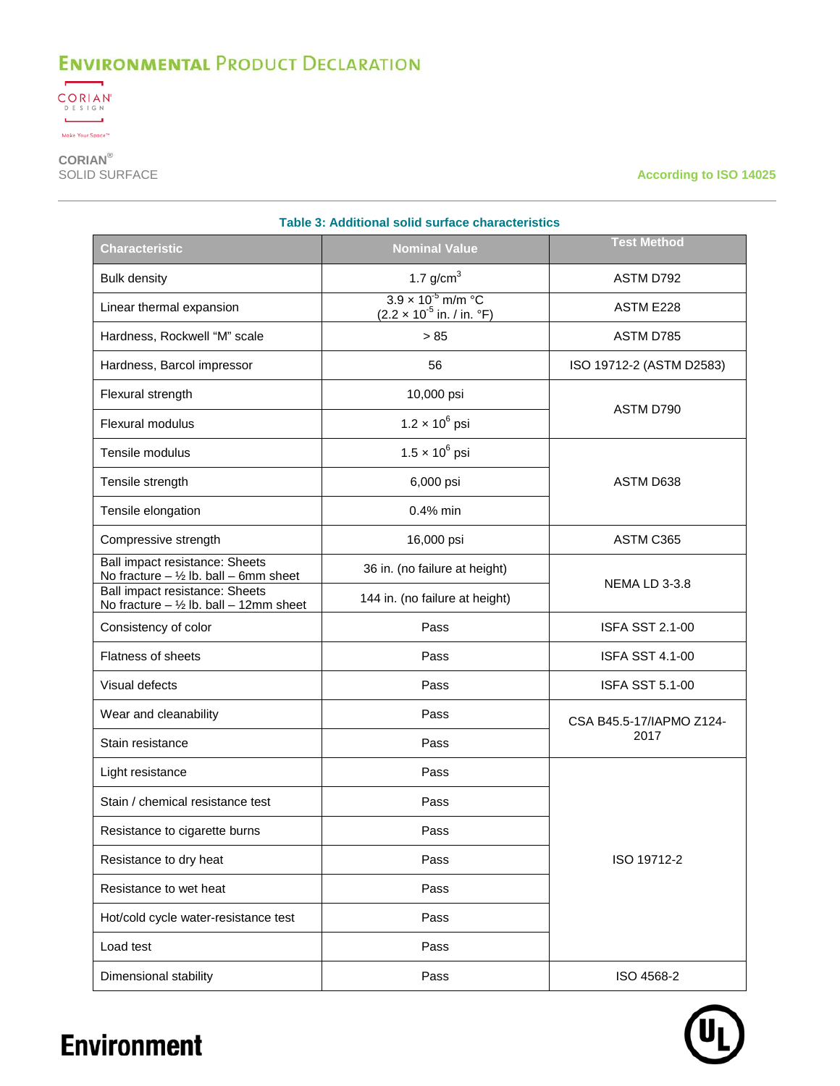

**CORIAN®**

**According to ISO 14025** 

<span id="page-5-0"></span>

| <b>Characteristic</b>                                                                | <b>SUITU SUITULE CHARGE ISTICS</b><br><b>Nominal Value</b>                                          | <b>Test Method</b>       |  |  |
|--------------------------------------------------------------------------------------|-----------------------------------------------------------------------------------------------------|--------------------------|--|--|
| <b>Bulk density</b>                                                                  | 1.7 $g/cm3$                                                                                         | ASTM D792                |  |  |
| Linear thermal expansion                                                             | $3.9 \times 10^{-5}$ m/m $^{\circ}$ C<br>$(2.2 \times 10^{-5} \text{ in.} / \text{ in.} \text{°F})$ | ASTM E228                |  |  |
| Hardness, Rockwell "M" scale                                                         | > 85                                                                                                | ASTM D785                |  |  |
| Hardness, Barcol impressor                                                           | 56                                                                                                  | ISO 19712-2 (ASTM D2583) |  |  |
| Flexural strength                                                                    | 10,000 psi                                                                                          |                          |  |  |
| Flexural modulus                                                                     | $1.2 \times 10^{6}$ psi                                                                             | ASTM D790                |  |  |
| Tensile modulus                                                                      | $1.5 \times 10^6$ psi                                                                               |                          |  |  |
| Tensile strength                                                                     | 6,000 psi                                                                                           | ASTM D638                |  |  |
| Tensile elongation                                                                   | $0.4\%$ min                                                                                         |                          |  |  |
| Compressive strength                                                                 | 16,000 psi                                                                                          | ASTM C365                |  |  |
| Ball impact resistance: Sheets<br>No fracture $-$ 1/2 lb. ball $-$ 6mm sheet         | 36 in. (no failure at height)                                                                       |                          |  |  |
| <b>Ball impact resistance: Sheets</b><br>No fracture $-$ 1/2 lb. ball $-$ 12mm sheet | 144 in. (no failure at height)                                                                      | <b>NEMA LD 3-3.8</b>     |  |  |
| Consistency of color                                                                 | Pass                                                                                                | <b>ISFA SST 2.1-00</b>   |  |  |
| <b>Flatness of sheets</b>                                                            | Pass                                                                                                | <b>ISFA SST 4.1-00</b>   |  |  |
| Visual defects                                                                       | Pass                                                                                                | <b>ISFA SST 5.1-00</b>   |  |  |
| Wear and cleanability                                                                | Pass                                                                                                | CSA B45.5-17/IAPMO Z124- |  |  |
| Stain resistance                                                                     | Pass                                                                                                | 2017                     |  |  |
| Light resistance                                                                     | Pass                                                                                                |                          |  |  |
| Stain / chemical resistance test                                                     | Pass                                                                                                |                          |  |  |
| Resistance to cigarette burns                                                        | Pass                                                                                                |                          |  |  |
| Resistance to dry heat                                                               | Pass                                                                                                | ISO 19712-2              |  |  |
| Resistance to wet heat                                                               | Pass                                                                                                |                          |  |  |
| Hot/cold cycle water-resistance test                                                 | Pass                                                                                                |                          |  |  |
| Load test                                                                            | Pass                                                                                                |                          |  |  |
| Dimensional stability                                                                | Pass                                                                                                | ISO 4568-2               |  |  |

**Table 3: Additional solid surface characteristics**

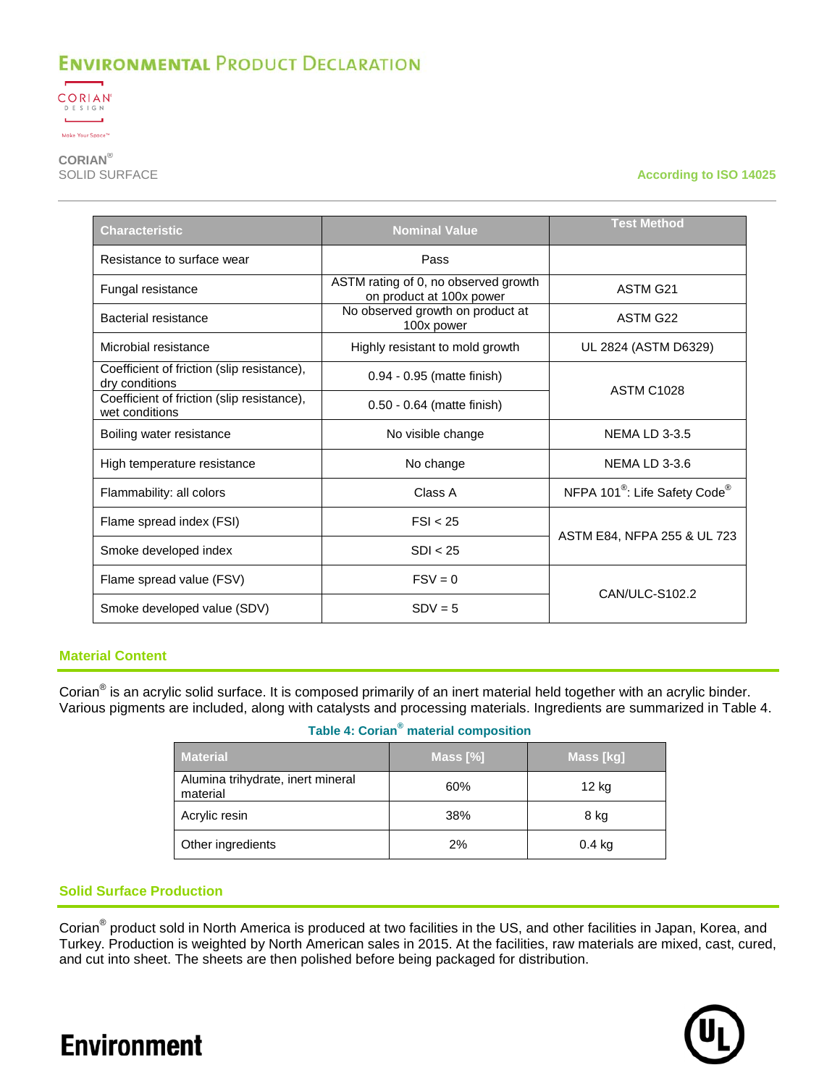

**CORIAN®**

**According to ISO 14025** 

| Characteristic                                               | <b>Nominal Value</b>                                             | <b>Test Method</b>                                    |  |
|--------------------------------------------------------------|------------------------------------------------------------------|-------------------------------------------------------|--|
| Resistance to surface wear                                   | Pass                                                             |                                                       |  |
| Fungal resistance                                            | ASTM rating of 0, no observed growth<br>on product at 100x power | ASTM G21                                              |  |
| Bacterial resistance                                         | No observed growth on product at<br>100x power                   | ASTM G22                                              |  |
| Microbial resistance                                         | Highly resistant to mold growth                                  | UL 2824 (ASTM D6329)                                  |  |
| Coefficient of friction (slip resistance),<br>dry conditions | 0.94 - 0.95 (matte finish)                                       | <b>ASTM C1028</b>                                     |  |
| Coefficient of friction (slip resistance),<br>wet conditions | 0.50 - 0.64 (matte finish)                                       |                                                       |  |
| Boiling water resistance                                     | No visible change                                                | <b>NEMA LD 3-3.5</b>                                  |  |
| High temperature resistance                                  | No change                                                        | <b>NEMA LD 3-3.6</b>                                  |  |
| Flammability: all colors                                     | Class A                                                          | NFPA 101 <sup>®</sup> : Life Safety Code <sup>®</sup> |  |
| Flame spread index (FSI)                                     | FSI < 25                                                         | ASTM E84, NFPA 255 & UL 723                           |  |
| Smoke developed index                                        | SDI < 25                                                         |                                                       |  |
| Flame spread value (FSV)                                     | $FSV = 0$                                                        | CAN/ULC-S102.2                                        |  |
| Smoke developed value (SDV)                                  | $SDV = 5$                                                        |                                                       |  |

### **Material Content**

<span id="page-6-0"></span>Corian® is an acrylic solid surface. It is composed primarily of an inert material held together with an acrylic binder. Various pigments are included, along with catalysts and processing materials. Ingredients are summarized in [Table 4.](#page-6-0)

### **Table 4: Corian® material composition**

| <b>Material</b>                               | Mass $[\%]$ | Mass [kg] |
|-----------------------------------------------|-------------|-----------|
| Alumina trihydrate, inert mineral<br>material | 60%         | 12 kg     |
| Acrylic resin                                 | 38%         | 8 kg      |
| Other ingredients                             | 2%          | 0.4 kg    |

### **Solid Surface Production**

Corian® product sold in North America is produced at two facilities in the US, and other facilities in Japan, Korea, and Turkey. Production is weighted by North American sales in 2015. At the facilities, raw materials are mixed, cast, cured, and cut into sheet. The sheets are then polished before being packaged for distribution.

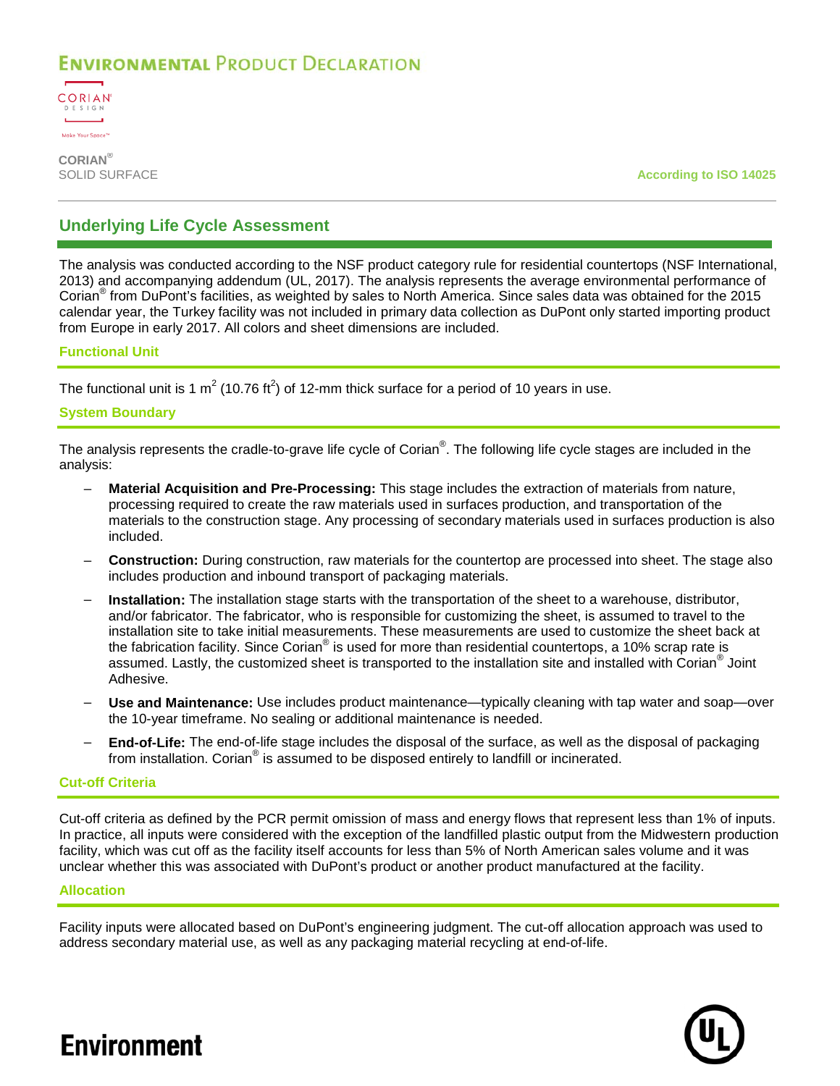

**CORIAN®**

**According to ISO 14025** 

### **Underlying Life Cycle Assessment**

The analysis was conducted according to the NSF product category rule for residential countertops (NSF International, 2013) and accompanying addendum (UL, 2017). The analysis represents the average environmental performance of Corian® from DuPont's facilities, as weighted by sales to North America. Since sales data was obtained for the 2015 calendar year, the Turkey facility was not included in primary data collection as DuPont only started importing product from Europe in early 2017. All colors and sheet dimensions are included.

### **Functional Unit**

The functional unit is 1 m<sup>2</sup> (10.76 ft<sup>2</sup>) of 12-mm thick surface for a period of 10 years in use.

### **System Boundary**

The analysis represents the cradle-to-grave life cycle of Corian $^{\circ}$ . The following life cycle stages are included in the analysis:

- **Material Acquisition and Pre-Processing:** This stage includes the extraction of materials from nature, processing required to create the raw materials used in surfaces production, and transportation of the materials to the construction stage. Any processing of secondary materials used in surfaces production is also included.
- **Construction:** During construction, raw materials for the countertop are processed into sheet. The stage also includes production and inbound transport of packaging materials.
- **Installation:** The installation stage starts with the transportation of the sheet to a warehouse, distributor, and/or fabricator. The fabricator, who is responsible for customizing the sheet, is assumed to travel to the installation site to take initial measurements. These measurements are used to customize the sheet back at the fabrication facility. Since Corian® is used for more than residential countertops, a 10% scrap rate is assumed. Lastly, the customized sheet is transported to the installation site and installed with Corian® Joint Adhesive.
- **Use and Maintenance:** Use includes product maintenance—typically cleaning with tap water and soap—over the 10-year timeframe. No sealing or additional maintenance is needed.
- **End-of-Life:** The end-of-life stage includes the disposal of the surface, as well as the disposal of packaging from installation. Corian® is assumed to be disposed entirely to landfill or incinerated.

### **Cut-off Criteria**

Cut-off criteria as defined by the PCR permit omission of mass and energy flows that represent less than 1% of inputs. In practice, all inputs were considered with the exception of the landfilled plastic output from the Midwestern production facility, which was cut off as the facility itself accounts for less than 5% of North American sales volume and it was unclear whether this was associated with DuPont's product or another product manufactured at the facility.

#### **Allocation**

Facility inputs were allocated based on DuPont's engineering judgment. The cut-off allocation approach was used to address secondary material use, as well as any packaging material recycling at end-of-life.

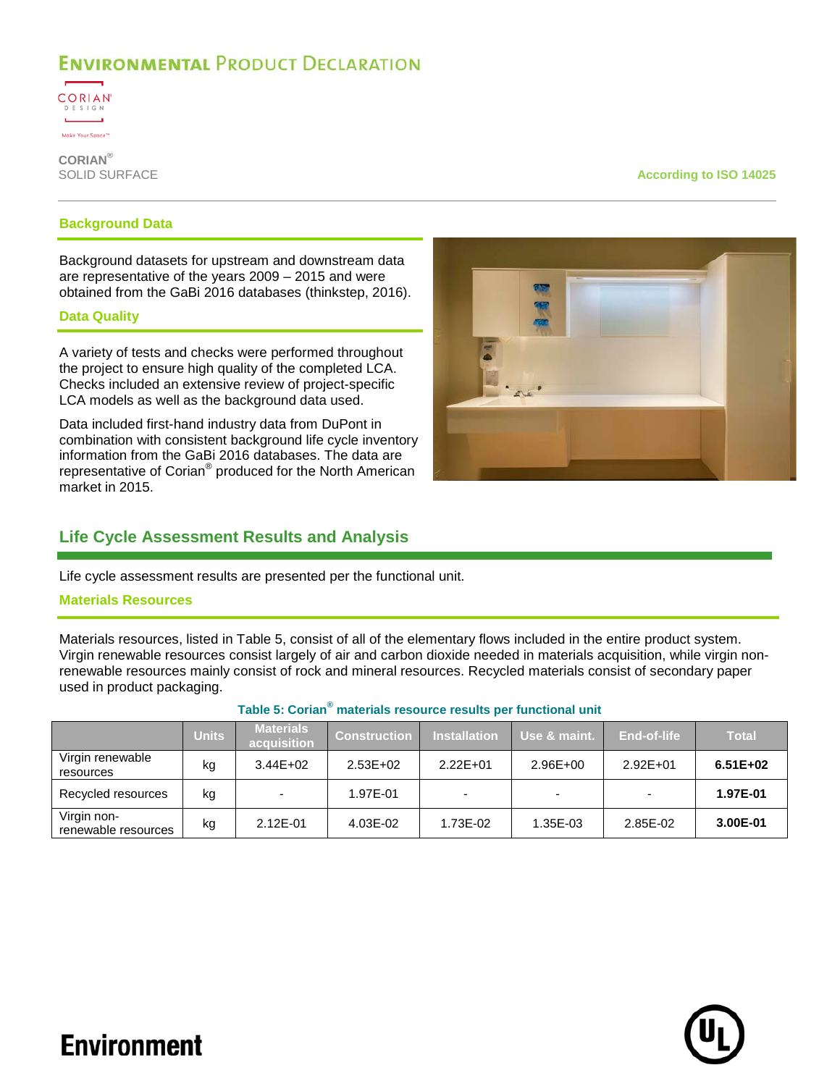

**CORIAN®**

#### **According to ISO 14025**

#### **Background Data**

Background datasets for upstream and downstream data are representative of the years 2009 – 2015 and were obtained from the GaBi 2016 databases (thinkstep, 2016).

#### **Data Quality**

A variety of tests and checks were performed throughout the project to ensure high quality of the completed LCA. Checks included an extensive review of project-specific LCA models as well as the background data used.

Data included first-hand industry data from DuPont in combination with consistent background life cycle inventory information from the GaBi 2016 databases. The data are representative of Corian<sup>®</sup> produced for the North American market in 2015.

### **Life Cycle Assessment Results and Analysis**

Life cycle assessment results are presented per the functional unit.

### **Materials Resources**

Materials resources, listed in [Table 5,](#page-8-0) consist of all of the elementary flows included in the entire product system. Virgin renewable resources consist largely of air and carbon dioxide needed in materials acquisition, while virgin nonrenewable resources mainly consist of rock and mineral resources. Recycled materials consist of secondary paper used in product packaging.

<span id="page-8-0"></span>

|                                    | Units | <b>Materials</b><br>acquisition | <b>Construction</b> | <b>Installation</b> | Use & maint.             | End-of-life  | <b>Total</b> |
|------------------------------------|-------|---------------------------------|---------------------|---------------------|--------------------------|--------------|--------------|
| Virgin renewable<br>resources      | kg    | $3.44E + 02$                    | $2.53E+02$          | $2.22E + 01$        | $2.96E + 00$             | $2.92E + 01$ | $6.51E+02$   |
| Recycled resources                 | kg    |                                 | 1.97E-01            |                     | $\overline{\phantom{0}}$ |              | 1.97E-01     |
| Virgin non-<br>renewable resources | kg    | 2.12E-01                        | 4.03E-02            | 1.73E-02            | 1.35E-03                 | 2.85E-02     | 3.00E-01     |

### **Table 5: Corian® materials resource results per functional unit**



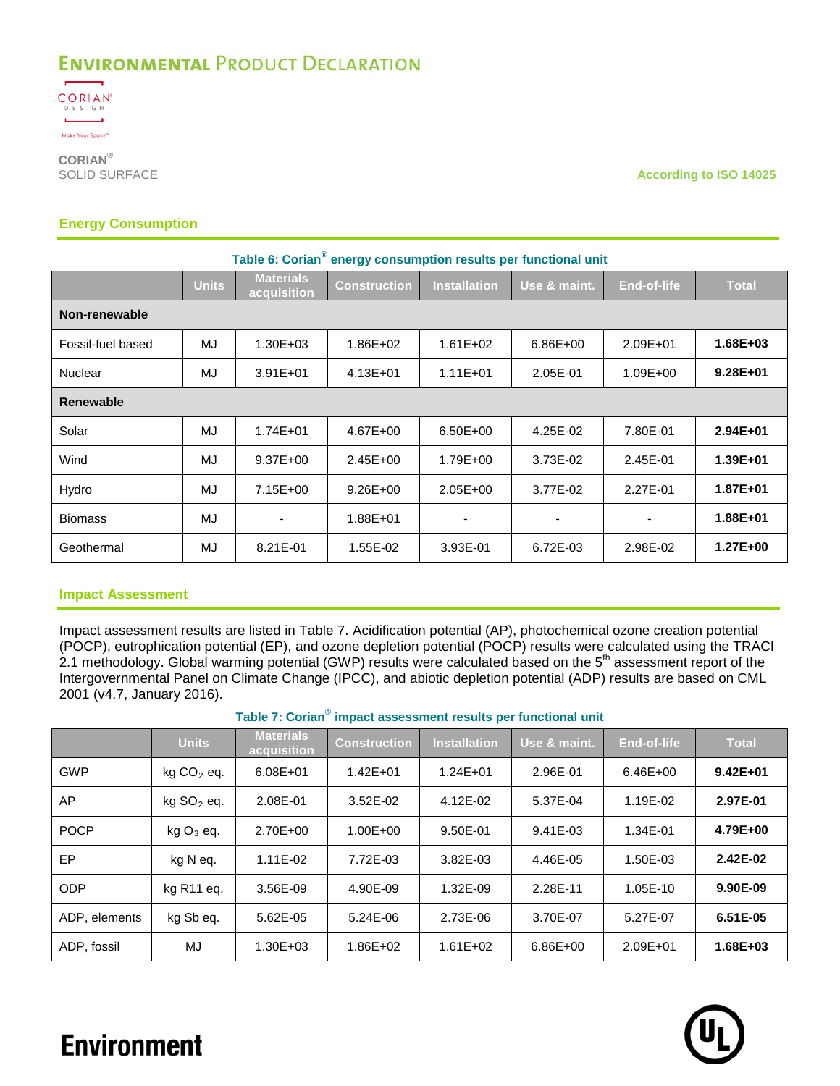

**CORIAN®**

**According to ISO 14025** 

### **Energy Consumption**

| Table 6: Corian <sup>®</sup> energy consumption results per functional unit |              |                                 |                     |                          |                          |                    |              |  |  |
|-----------------------------------------------------------------------------|--------------|---------------------------------|---------------------|--------------------------|--------------------------|--------------------|--------------|--|--|
|                                                                             | <b>Units</b> | <b>Materials</b><br>acquisition | <b>Construction</b> | <b>Installation</b>      | Use & maint.             | <b>End-of-life</b> | <b>Total</b> |  |  |
| Non-renewable                                                               |              |                                 |                     |                          |                          |                    |              |  |  |
| Fossil-fuel based                                                           | MJ           | $1.30E + 03$                    | $1.86E + 02$        | $1.61E + 02$             | $6.86E + 00$             | 2.09E+01           | 1.68E+03     |  |  |
| Nuclear                                                                     | MJ           | $3.91E + 01$                    | $4.13E + 01$        | $1.11E + 01$             | 2.05E-01                 | 1.09E+00           | $9.28E + 01$ |  |  |
| <b>Renewable</b>                                                            |              |                                 |                     |                          |                          |                    |              |  |  |
| Solar                                                                       | MJ           | $1.74E + 01$                    | 4.67E+00            | $6.50E + 00$             | 4.25E-02                 | 7.80E-01           | $2.94E + 01$ |  |  |
| Wind                                                                        | MJ           | $9.37E + 00$                    | $2.45E + 00$        | 1.79E+00                 | 3.73E-02                 | 2.45E-01           | 1.39E+01     |  |  |
| Hydro                                                                       | MJ           | 7.15E+00                        | $9.26E + 00$        | $2.05E + 00$             | 3.77E-02                 | 2.27E-01           | 1.87E+01     |  |  |
| <b>Biomass</b>                                                              | MJ           | $\blacksquare$                  | 1.88E+01            | $\overline{\phantom{0}}$ | $\overline{\phantom{0}}$ | $\blacksquare$     | 1.88E+01     |  |  |
| Geothermal                                                                  | MJ           | 8.21E-01                        | 1.55E-02            | 3.93E-01                 | 6.72E-03                 | 2.98E-02           | 1.27E+00     |  |  |

### **Impact Assessment**

Impact assessment results are listed in [Table 7.](#page-9-0) Acidification potential (AP), photochemical ozone creation potential (POCP), eutrophication potential (EP), and ozone depletion potential (POCP) results were calculated using the TRACI 2.1 methodology. Global warming potential (GWP) results were calculated based on the 5<sup>th</sup> assessment report of the Intergovernmental Panel on Climate Change (IPCC), and abiotic depletion potential (ADP) results are based on CML 2001 (v4.7, January 2016).

**Table 7: Corian® impact assessment results per functional unit**

<span id="page-9-0"></span>

|               | <b>Units</b>           | <b>Materials</b><br>acquisition | <b>Construction</b> | <b>Installation</b> | Use & maint. | <b>End-of-life</b> | <b>Total</b> |
|---------------|------------------------|---------------------------------|---------------------|---------------------|--------------|--------------------|--------------|
| <b>GWP</b>    | $kg CO2$ eq.           | 6.08E+01                        | $1.42E + 01$        | $1.24E + 01$        | 2.96E-01     | $6.46E + 00$       | $9.42E + 01$ |
| AP            | kg SO <sub>2</sub> eq. | 2.08E-01                        | 3.52E-02            | 4.12E-02            | 5.37E-04     | 1.19E-02           | 2.97E-01     |
| <b>POCP</b>   | $kgO3$ eq.             | 2.70E+00                        | $1.00E + 00$        | 9.50E-01            | 9.41E-03     | 1.34E-01           | 4.79E+00     |
| EP            | kg N eg.               | 1.11E-02                        | 7.72E-03            | 3.82E-03            | 4.46E-05     | 1.50E-03           | 2.42E-02     |
| <b>ODP</b>    | kg R <sub>11</sub> eg. | 3.56E-09                        | 4.90E-09            | 1.32E-09            | 2.28E-11     | 1.05E-10           | 9.90E-09     |
| ADP. elements | kg Sb eq.              | 5.62E-05                        | 5.24E-06            | 2.73E-06            | 3.70E-07     | 5.27E-07           | 6.51E-05     |
| ADP, fossil   | MJ                     | $1.30E + 03$                    | 1.86E+02            | $1.61E + 02$        | 6.86E+00     | 2.09E+01           | 1.68E+03     |

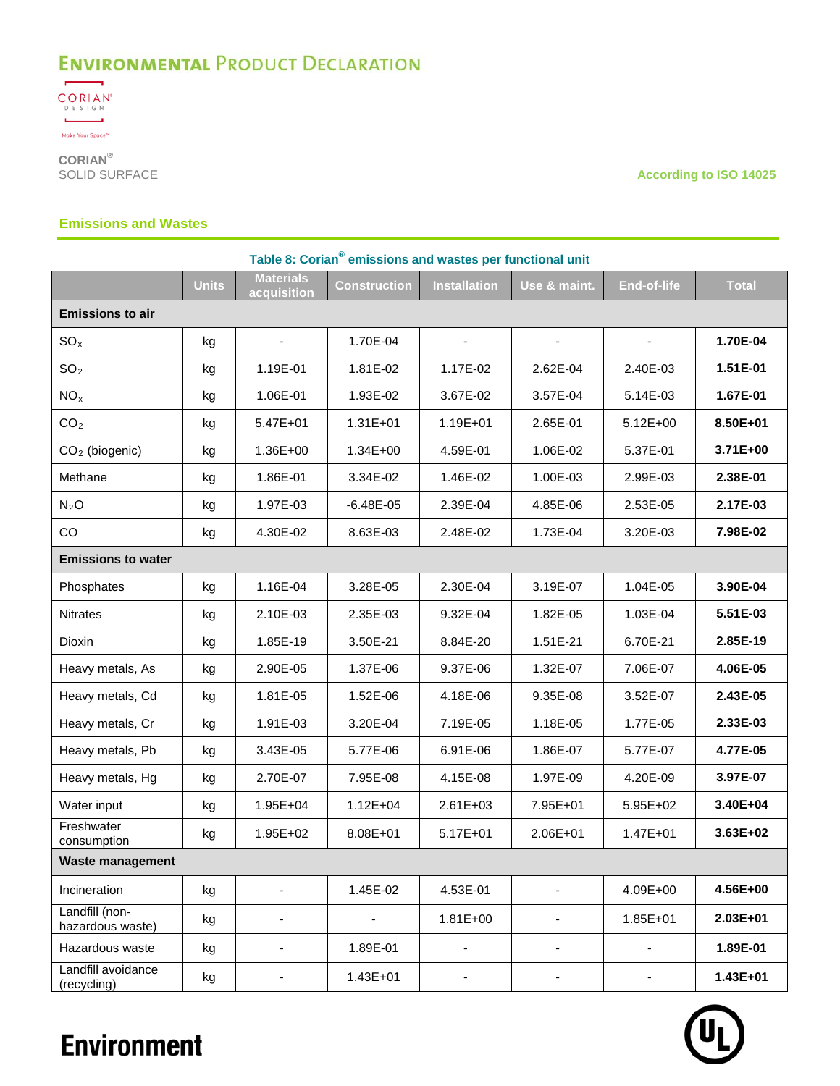

**CORIAN®**

**According to ISO 14025** 

### **Emissions and Wastes**

| Table 8: Corian <sup>®</sup> emissions and wastes per functional unit |              |                                 |                     |                     |                          |                          |              |  |
|-----------------------------------------------------------------------|--------------|---------------------------------|---------------------|---------------------|--------------------------|--------------------------|--------------|--|
|                                                                       | <b>Units</b> | <b>Materials</b><br>acquisition | <b>Construction</b> | <b>Installation</b> | Use & maint.             | <b>End-of-life</b>       | <b>Total</b> |  |
| <b>Emissions to air</b>                                               |              |                                 |                     |                     |                          |                          |              |  |
| SO <sub>x</sub>                                                       | kg           | $\overline{\phantom{a}}$        | 1.70E-04            |                     |                          |                          | 1.70E-04     |  |
| SO <sub>2</sub>                                                       | kg           | 1.19E-01                        | 1.81E-02            | 1.17E-02            | 2.62E-04                 | 2.40E-03                 | 1.51E-01     |  |
| NO <sub>x</sub>                                                       | kg           | 1.06E-01                        | 1.93E-02            | 3.67E-02            | 3.57E-04                 | 5.14E-03                 | 1.67E-01     |  |
| CO <sub>2</sub>                                                       | kg           | 5.47E+01                        | $1.31E + 01$        | 1.19E+01            | 2.65E-01                 | $5.12E + 00$             | 8.50E+01     |  |
| $CO2$ (biogenic)                                                      | kg           | 1.36E+00                        | $1.34E + 00$        | 4.59E-01            | 1.06E-02                 | 5.37E-01                 | 3.71E+00     |  |
| Methane                                                               | kg           | 1.86E-01                        | 3.34E-02            | 1.46E-02            | 1.00E-03                 | 2.99E-03                 | 2.38E-01     |  |
| $N_2O$                                                                | kg           | 1.97E-03                        | $-6.48E - 05$       | 2.39E-04            | 4.85E-06                 | 2.53E-05                 | 2.17E-03     |  |
| CO                                                                    | kg           | 4.30E-02                        | 8.63E-03            | 2.48E-02            | 1.73E-04                 | 3.20E-03                 | 7.98E-02     |  |
| <b>Emissions to water</b>                                             |              |                                 |                     |                     |                          |                          |              |  |
| Phosphates                                                            | kg           | 1.16E-04                        | 3.28E-05            | 2.30E-04            | 3.19E-07                 | 1.04E-05                 | 3.90E-04     |  |
| <b>Nitrates</b>                                                       | kg           | 2.10E-03                        | 2.35E-03            | 9.32E-04            | 1.82E-05                 | 1.03E-04                 | 5.51E-03     |  |
| Dioxin                                                                | kg           | 1.85E-19                        | 3.50E-21            | 8.84E-20            | 1.51E-21                 | 6.70E-21                 | 2.85E-19     |  |
| Heavy metals, As                                                      | kg           | 2.90E-05                        | 1.37E-06            | 9.37E-06            | 1.32E-07                 | 7.06E-07                 | 4.06E-05     |  |
| Heavy metals, Cd                                                      | kg           | 1.81E-05                        | 1.52E-06            | 4.18E-06            | 9.35E-08                 | 3.52E-07                 | 2.43E-05     |  |
| Heavy metals, Cr                                                      | kg           | 1.91E-03                        | 3.20E-04            | 7.19E-05            | 1.18E-05                 | 1.77E-05                 | 2.33E-03     |  |
| Heavy metals, Pb                                                      | kg           | 3.43E-05                        | 5.77E-06            | 6.91E-06            | 1.86E-07                 | 5.77E-07                 | 4.77E-05     |  |
| Heavy metals, Hg                                                      | kg           | 2.70E-07                        | 7.95E-08            | 4.15E-08            | 1.97E-09                 | 4.20E-09                 | 3.97E-07     |  |
| Water input                                                           | kg           | 1.95E+04                        | $1.12E + 04$        | 2.61E+03            | 7.95E+01                 | 5.95E+02                 | 3.40E+04     |  |
| Freshwater<br>consumption                                             | kg           | 1.95E+02                        | 8.08E+01            | 5.17E+01            | 2.06E+01                 | $1.47E + 01$             | 3.63E+02     |  |
| <b>Waste management</b>                                               |              |                                 |                     |                     |                          |                          |              |  |
| Incineration                                                          | kg           |                                 | 1.45E-02            | 4.53E-01            |                          | 4.09E+00                 | 4.56E+00     |  |
| Landfill (non-<br>hazardous waste)                                    | kg           | $\qquad \qquad \blacksquare$    |                     | $1.81E + 00$        | ÷,                       | 1.85E+01                 | $2.03E + 01$ |  |
| Hazardous waste                                                       | kg           | -                               | 1.89E-01            | ٠                   | $\overline{\phantom{a}}$ | $\overline{\phantom{a}}$ | 1.89E-01     |  |
| Landfill avoidance<br>(recycling)                                     | kg           | $\overline{\phantom{0}}$        | $1.43E + 01$        |                     | $\overline{\phantom{a}}$ | ۰                        | 1.43E+01     |  |

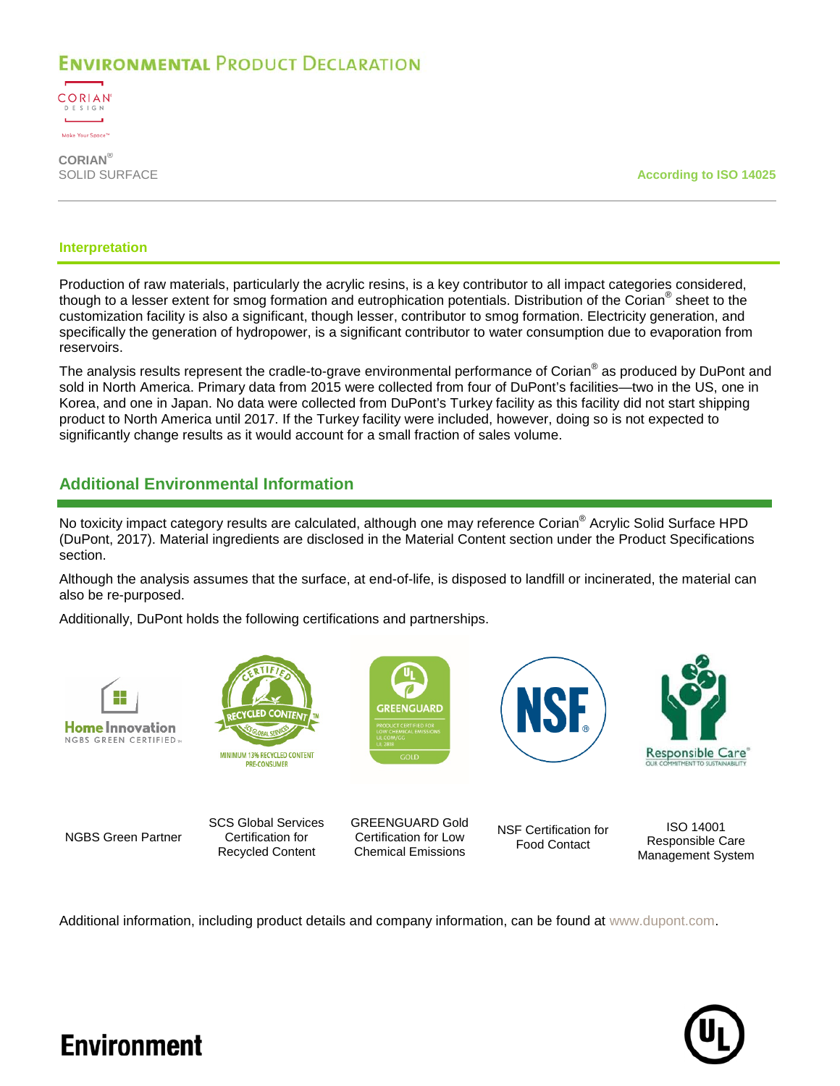

**CORIAN®**

**According to ISO 14025** 

#### **Interpretation**

Production of raw materials, particularly the acrylic resins, is a key contributor to all impact categories considered, though to a lesser extent for smog formation and eutrophication potentials. Distribution of the Corian® sheet to the customization facility is also a significant, though lesser, contributor to smog formation. Electricity generation, and specifically the generation of hydropower, is a significant contributor to water consumption due to evaporation from reservoirs.

The analysis results represent the cradle-to-grave environmental performance of Corian® as produced by DuPont and sold in North America. Primary data from 2015 were collected from four of DuPont's facilities—two in the US, one in Korea, and one in Japan. No data were collected from DuPont's Turkey facility as this facility did not start shipping product to North America until 2017. If the Turkey facility were included, however, doing so is not expected to significantly change results as it would account for a small fraction of sales volume.

### **Additional Environmental Information**

No toxicity impact category results are calculated, although one may reference Corian<sup>®</sup> Acrylic Solid Surface HPD (DuPont, 2017). Material ingredients are disclosed in the Material Content section under the Product Specifications section.

Although the analysis assumes that the surface, at end-of-life, is disposed to landfill or incinerated, the material can also be re-purposed.

**SPEENGLIARD** 

Additionally, DuPont holds the following certifications and partnerships.





NGBS Green Partner SCS Global Services Certification for

Recycled Content GREENGUARD Gold Certification for Low Chemical Emissions

NSF Certification for Food Contact



ISO 14001 Responsible Care Management System

Additional information, including product details and company information, can be found at [www.dupont.com.](http://www.dupont.com/)